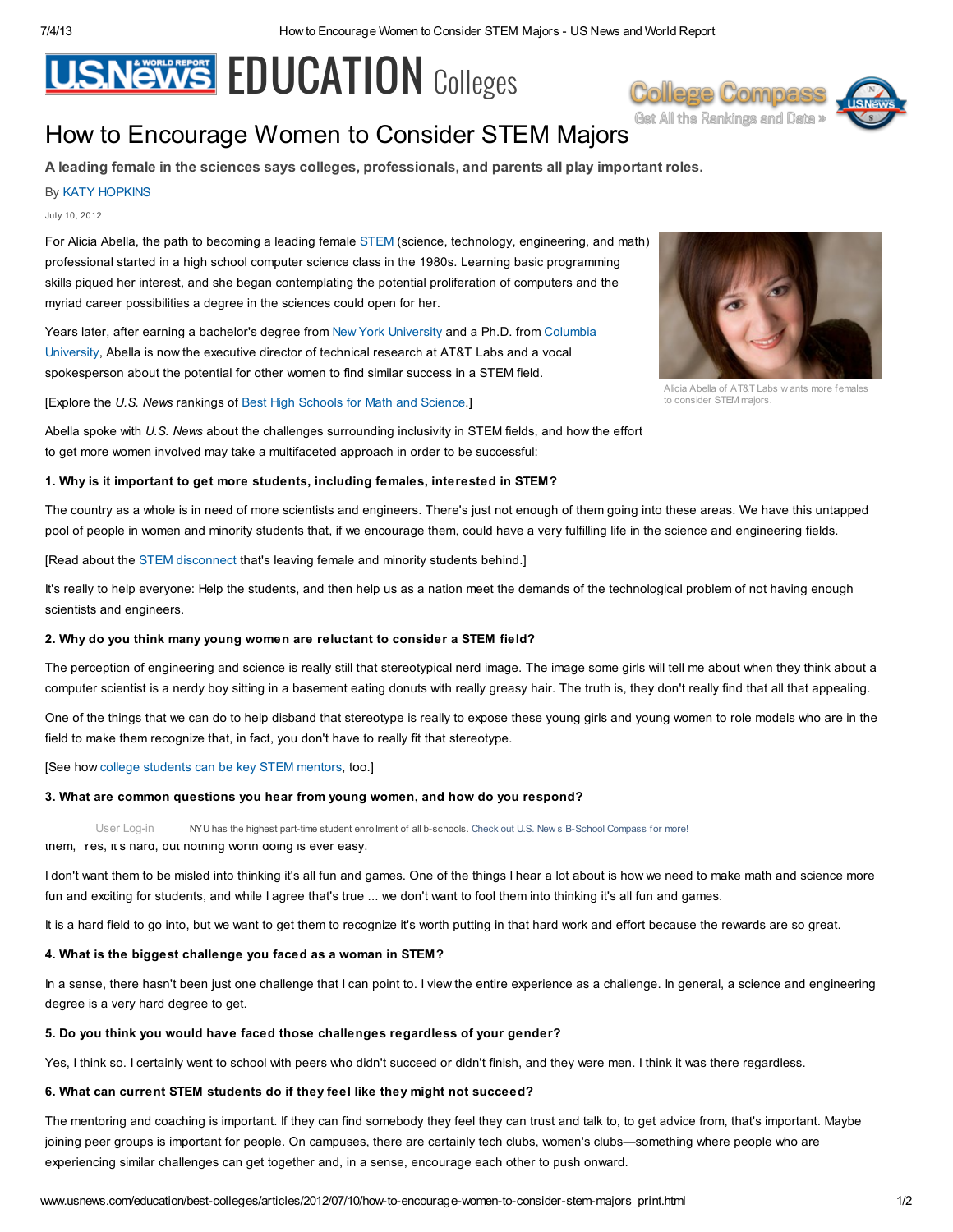# **U.S.News FDUCATION Colleges**



# How to Encourage Women to Con[s](http://www.usnews.com/usnews/store/college_compass.htm?src=c_header)ider STEM Majors **Get All the Rankings and Data** »

A leading female in the sciences says colleges, professionals, and parents all play important roles.

# By KATY [HOPKINS](http://www.usnews.com/topics/author/katy_hopkins)

### July 10, 2012

For Alicia Abella, the path to becoming a leading female [STEM](http://www.usnews.com/news/blogs/stem-education) (science, technology, engineering, and math) professional started in a high school computer science class in the 1980s. Learning basic programming skills piqued her interest, and she began contemplating the potential proliferation of computers and the myriad career possibilities a degree in the sciences could open for her.

Years later, after earning a [bachelor's](http://grad-schools.usnews.rankingsandreviews.com/best-graduate-schools/top-engineering-schools/columbia-university-fu-foundation-02116) degree from New York [University](http://colleges.usnews.rankingsandreviews.com/best-colleges/new-york-university-2785) and a Ph.D. from Columbia University, Abella is now the executive director of technical research at AT&T Labs and a vocal spokesperson about the potential for other women to find similar success in a STEM field.

[Explore the U.S. News rankings of Best High [Schools](http://www.usnews.com/education/best-high-schools/national-rankings/stem) for Math and Science.]

Abella spoke with U.S. News about the challenges surrounding inclusivity in STEM fields, and how the effort to get more women involved may take a multifaceted approach in order to be successful:

#### 1. Why is it important to get more students, including females, interested in STEM?

The country as a whole is in need of more scientists and engineers. There's just not enough of them going into these areas. We have this untapped pool of people in women and minority students that, if we encourage them, could have a very fulfilling life in the science and engineering fields.

[Read about the STEM [disconnect](http://www.usnews.com/news/blogs/stem-education/2012/06/28/stem-disconnect-leaves-women-minorities-behind) that's leaving female and minority students behind.]

It's really to help everyone: Help the students, and then help us as a nation meet the demands of the technological problem of not having enough scientists and engineers.

# 2. Why do you think many young women are reluctant to consider a STEM field?

The perception of engineering and science is really still that stereotypical nerd image. The image some girls will tell me about when they think about a computer scientist is a nerdy boy sitting in a basement eating donuts with really greasy hair. The truth is, they don't really find that all that appealing.

One of the things that we can do to help disband that stereotype is really to expose these young girls and young women to role models who are in the field to make them recognize that, in fact, you don't have to really fit that stereotype.

# [See how college [students](http://www.usnews.com/education/high-schools/articles/2012/05/31/college-mentors-key-to-prospective-female-stem-majors) can be key STEM mentors, too.]

#### 3. What are common questions you hear from young women, and how do you respond?

User [Log-in](http://www.usnews.com/education/best-colleges/articles/2012/07/10/how-to-encourage-women-to-consider-stem-majors_print.html#userlogin) MYU has the highest part-time student enrollment of all b-schools. Check out U.S. New s B-School Compass for more!

them, 'Yes, it's hard, but nothing worth doing is ever easy.'

I don't want them to be misled into thinking it's all fun and games. One of the things I hear a lot about is how we need to make math and science more fun and exciting for students, and while I agree that's true ... we don't want to fool them into thinking it's all fun and games.

It is a hard field to go into, but we want to get them to recognize it's worth putting in that hard work and effort because the rewards are so great.

# 4. What is the biggest challenge you faced as a woman in STEM?

In a sense, there hasn't been just one challenge that I can point to. I view the entire experience as a challenge. In general, a science and engineering degree is a very hard degree to get.

# 5. Do you think you would have faced those challenges regardless of your gender?

Yes, I think so. I certainly went to school with peers who didn't succeed or didn't finish, and they were men. I think it was there regardless.

#### 6. What can current STEM students do if they feel like they might not succeed?

The mentoring and coaching is important. If they can find somebody they feel they can trust and talk to, to get advice from, that's important. Maybe joining peer groups is important for people. On campuses, there are certainly tech clubs, women's clubs—something where people who are experiencing similar challenges can get together and, in a sense, encourage each other to push onward.



Alicia Abella of AT&T Labs w ants more females to consider STEM majors.